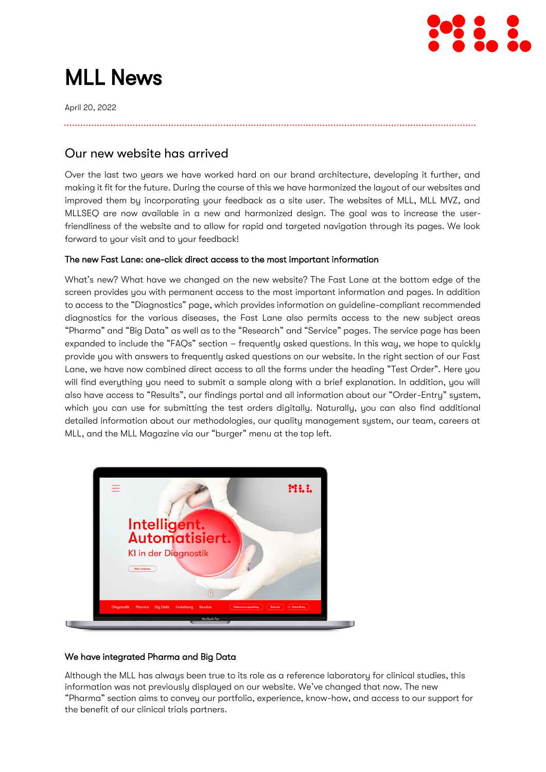

# MLL News

April 20, 2022

## Our new website has arrived

Over the last two years we have worked hard on our brand architecture, developing it further, and making it fit for the future. During the course of this we have harmonized the layout of our websites and improved them by incorporating your feedback as a site user. The websites of MLL, MLL MVZ, and MLLSEQ are now available in a new and harmonized design. The goal was to increase the userfriendliness of the website and to allow for rapid and targeted navigation through its pages. We look forward to your visit and to your feedback!

## The new Fast Lane: one-click direct access to the most important information

What's new? What have we changed on the new website? The Fast Lane at the bottom edge of the screen provides you with permanent access to the most important information and pages. In addition to access to the "Diagnostics" page, which provides information on guideline-compliant recommended diagnostics for the various diseases, the Fast Lane also permits access to the new subject areas "Pharma" and "Big Data" as well as to the "Research" and "Service" pages. The service page has been expanded to include the "FAQs" section – frequently asked questions. In this way, we hope to quickly provide you with answers to frequently asked questions on our website. In the right section of our Fast Lane, we have now combined direct access to all the forms under the heading "Test Order". Here you will find everything you need to submit a sample along with a brief explanation. In addition, you will also have access to "Results", our findings portal and all information about our "Order-Entry" system, which you can use for submitting the test orders digitally. Naturally, you can also find additional detailed information about our methodologies, our quality management system, our team, careers at MLL, and the MLL Magazine via our "burger" menu at the top left.



## We have integrated Pharma and Big Data

Although the MLL has always been true to its role as a reference laboratory for clinical studies, this information was not previously displayed on our website. We've changed that now. The new "Pharma" section aims to convey our portfolio, experience, know-how, and access to our support for the benefit of our clinical trials partners.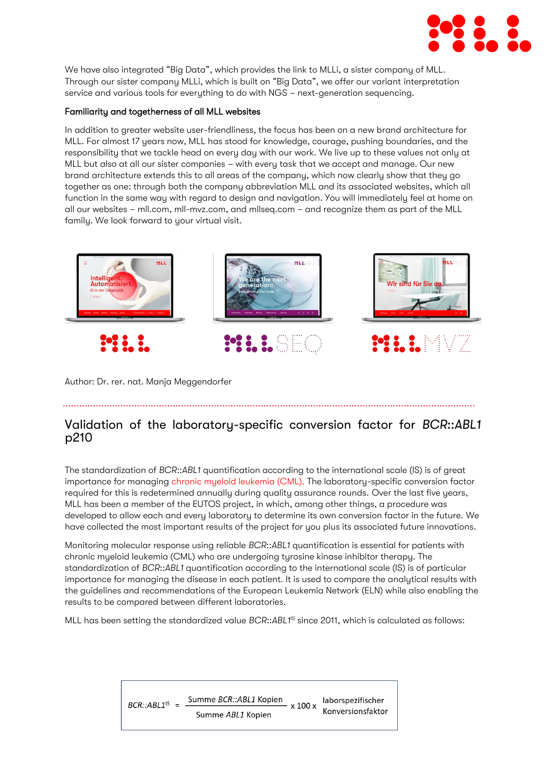

We have also integrated "Big Data", which provides the link to MLLi, a sister company of MLL. Through our sister company MLLi, which is built on "Big Data", we offer our variant interpretation service and various tools for everything to do with NGS – next-generation sequencing.

## Familiarity and togetherness of all MLL websites

In addition to greater website user-friendliness, the focus has been on a new brand architecture for MLL. For almost 17 years now, MLL has stood for knowledge, courage, pushing boundaries, and the responsibility that we tackle head on every day with our work. We live up to these values not only at MLL but also at all our sister companies – with every task that we accept and manage. Our new brand architecture extends this to all areas of the company, which now clearly show that they go together as one: through both the company abbreviation MLL and its associated websites, which all function in the same way with regard to design and navigation. You will immediately feel at home on all our websites – mll.com, mll-mvz.com, and mllseq.com – and recognize them as part of the MLL family. We look forward to your virtual visit.



Author: Dr. rer. nat. Manja Meggendorfer

# Validation of the laboratory-specific conversion factor for *BCR*::*ABL1* p210

The standardization of *BCR*::*ABL1* quantification according to the international scale (IS) is of great importance for managing [chronic myeloid leukemia \(CML\).](https://www.mll.com/chronische-myeloische-leukaemie-cml/chronische-myeloische-leukaemie-cml) The laboratory-specific conversion factor required for this is redetermined annually during quality assurance rounds. Over the last five years, MLL has been a member of the EUTOS project, in which, among other things, a procedure was developed to allow each and every laboratory to determine its own conversion factor in the future. We have collected the most important results of the project for you plus its associated future innovations.

Monitoring molecular response using reliable *BCR*::*ABL1* quantification is essential for patients with chronic myeloid leukemia (CML) who are undergoing tyrosine kinase inhibitor therapy. The standardization of *BCR*::*ABL1* quantification according to the international scale (IS) is of particular importance for managing the disease in each patient. It is used to compare the analytical results with the guidelines and recommendations of the European Leukemia Network (ELN) while also enabling the results to be compared between different laboratories.

MLL has been setting the standardized value *BCR*::ABL1<sup>IS</sup> since 2011, which is calculated as follows:

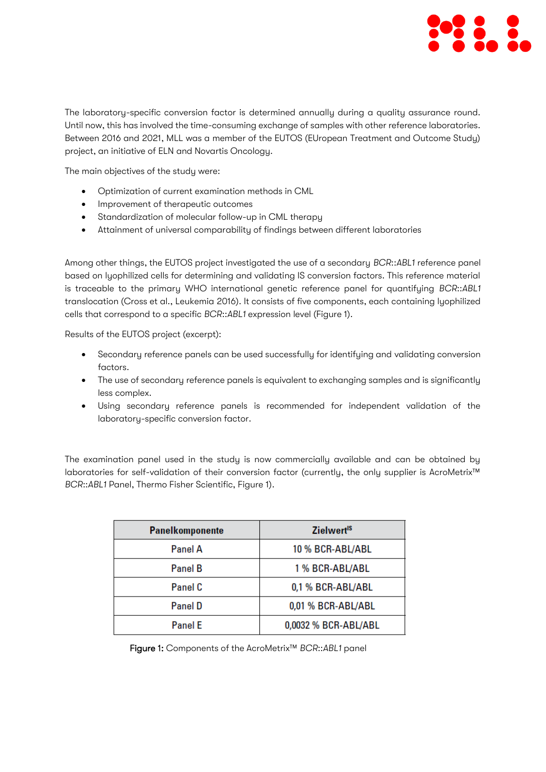

The laboratory-specific conversion factor is determined annually during a quality assurance round. Until now, this has involved the time-consuming exchange of samples with other reference laboratories. Between 2016 and 2021, MLL was a member of the EUTOS (EUropean Treatment and Outcome Study) project, an initiative of ELN and Novartis Oncology.

The main objectives of the study were:

- Optimization of current examination methods in CML
- Improvement of therapeutic outcomes
- Standardization of molecular follow-up in CML therapy
- Attainment of universal comparability of findings between different laboratories

Among other things, the EUTOS project investigated the use of a secondary *BCR*::*ABL1* reference panel based on lyophilized cells for determining and validating IS conversion factors. This reference material is traceable to the primary WHO international genetic reference panel for quantifying *BCR*::*ABL1* translocation (Cross et al., Leukemia 2016). It consists of five components, each containing lyophilized cells that correspond to a specific *BCR*::*ABL1* expression level (Figure 1).

Results of the EUTOS project (excerpt):

- Secondary reference panels can be used successfully for identifying and validating conversion factors.
- The use of secondary reference panels is equivalent to exchanging samples and is significantly less complex.
- Using secondary reference panels is recommended for independent validation of the laboratory-specific conversion factor.

The examination panel used in the study is now commercially available and can be obtained by laboratories for self-validation of their conversion factor (currently, the only supplier is AcroMetrix™ *BCR*::*ABL1* Panel, Thermo Fisher Scientific, Figure 1).

| <b>Panelkomponente</b> | <b>Zielwert<sup>1S</sup></b> |
|------------------------|------------------------------|
| <b>Panel A</b>         | 10 % BCR-ABL/ABL             |
| <b>Panel B</b>         | 1 % BCR-ABL/ABL              |
| Panel C                | 0,1 % BCR-ABL/ABL            |
| <b>Panel D</b>         | 0,01 % BCR-ABL/ABL           |
| <b>Panel E</b>         | 0,0032 % BCR-ABL/ABL         |

Figure 1: Components of the AcroMetrix™ *BCR*::*ABL1* panel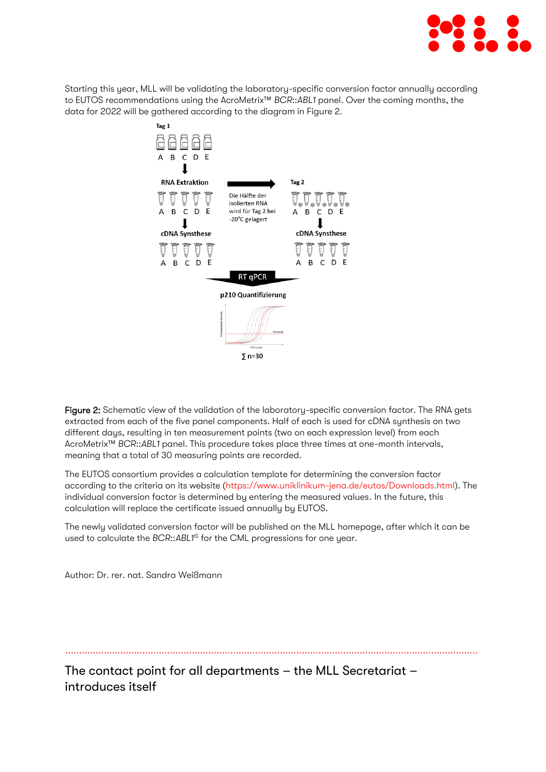

Starting this year, MLL will be validating the laboratory-specific conversion factor annually according to EUTOS recommendations using the AcroMetrix™ *BCR*::*ABL1* panel. Over the coming months, the data for 2022 will be gathered according to the diagram in Figure 2.



Figure 2: Schematic view of the validation of the laboratory-specific conversion factor. The RNA gets extracted from each of the five panel components. Half of each is used for cDNA synthesis on two different days, resulting in ten measurement points (two on each expression level) from each AcroMetrix™ *BCR*::*ABL1* panel. This procedure takes place three times at one-month intervals, meaning that a total of 30 measuring points are recorded.

The EUTOS consortium provides a calculation template for determining the conversion factor according to the criteria on its website [\(https://www.uniklinikum-jena.de/eutos/Downloads.html\)](https://www.uniklinikum-jena.de/eutos/Downloads.html). The individual conversion factor is determined by entering the measured values. In the future, this calculation will replace the certificate issued annually by EUTOS.

The newly validated conversion factor will be published on the MLL homepage, after which it can be used to calculate the *BCR*::ABL1<sup>IS</sup> for the CML progressions for one year.

Author: Dr. rer. nat. Sandra Weißmann

The contact point for all departments – the MLL Secretariat – introduces itself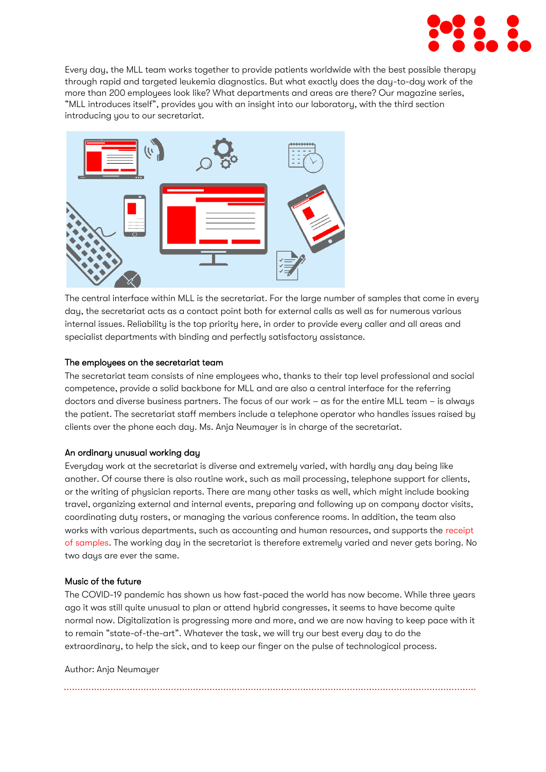

Every day, the MLL team works together to provide patients worldwide with the best possible therapy through rapid and targeted leukemia diagnostics. But what exactly does the day-to-day work of the more than 200 employees look like? What departments and areas are there? Our magazine series, "MLL introduces itself", provides you with an insight into our laboratory, with the third section introducing you to our secretariat.



The central interface within MLL is the secretariat. For the large number of samples that come in every day, the secretariat acts as a contact point both for external calls as well as for numerous various internal issues. Reliability is the top priority here, in order to provide every caller and all areas and specialist departments with binding and perfectly satisfactory assistance.

## The employees on the secretariat team

The secretariat team consists of nine employees who, thanks to their top level professional and social competence, provide a solid backbone for MLL and are also a central interface for the referring doctors and diverse business partners. The focus of our work – as for the entire MLL team – is always the patient. The secretariat staff members include a telephone operator who handles issues raised by clients over the phone each day. Ms. Anja Neumayer is in charge of the secretariat.

#### An ordinary unusual working day

Everyday work at the secretariat is diverse and extremely varied, with hardly any day being like another. Of course there is also routine work, such as mail processing, telephone support for clients, or the writing of physician reports. There are many other tasks as well, which might include booking travel, organizing external and internal events, preparing and following up on company doctor visits, coordinating duty rosters, or managing the various conference rooms. In addition, the team also works with various departments, such as accounting and human resources, and supports the [receipt](https://www.mll.com/en/good-findings-start-with-preanalytics-our-sample-receipt-introduces-itself)  [of samples.](https://www.mll.com/en/good-findings-start-with-preanalytics-our-sample-receipt-introduces-itself) The working day in the secretariat is therefore extremely varied and never gets boring. No two days are ever the same.

#### Music of the future

The COVID-19 pandemic has shown us how fast-paced the world has now become. While three years ago it was still quite unusual to plan or attend hybrid congresses, it seems to have become quite normal now. Digitalization is progressing more and more, and we are now having to keep pace with it to remain "state-of-the-art". Whatever the task, we will try our best every day to do the extraordinary, to help the sick, and to keep our finger on the pulse of technological process.

Author: Ania Neumauer